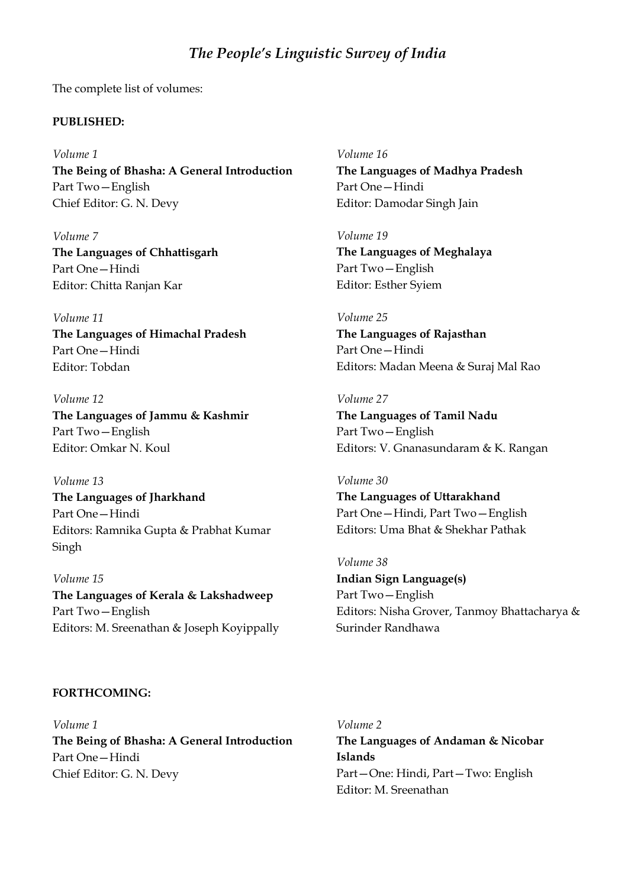# *The People's Linguistic Survey of India*

The complete list of volumes:

# **PUBLISHED:**

# *Volume 1*

**The Being of Bhasha: A General Introduction** Part Two—English Chief Editor: G. N. Devy

*Volume 7* **The Languages of Chhattisgarh** Part One—Hindi Editor: Chitta Ranjan Kar

*Volume 11*

**The Languages of Himachal Pradesh** Part One—Hindi Editor: Tobdan

*Volume 12* **The Languages of Jammu & Kashmir** Part Two—English Editor: Omkar N. Koul

## *Volume 13*

**The Languages of Jharkhand** Part One—Hindi Editors: Ramnika Gupta & Prabhat Kumar Singh

*Volume 15* **The Languages of Kerala & Lakshadweep** Part Two—English Editors: M. Sreenathan & Joseph Koyippally

## **FORTHCOMING:**

*Volume 1* **The Being of Bhasha: A General Introduction** Part One—Hindi Chief Editor: G. N. Devy

*Volume 16* **The Languages of Madhya Pradesh** Part One—Hindi Editor: Damodar Singh Jain

*Volume 19* **The Languages of Meghalaya** Part Two—English Editor: Esther Syiem

*Volume 25* **The Languages of Rajasthan** Part One—Hindi Editors: Madan Meena & Suraj Mal Rao

# *Volume 27*

**The Languages of Tamil Nadu** Part Two—English Editors: V. Gnanasundaram & K. Rangan

#### *Volume 30*

**The Languages of Uttarakhand** Part One—Hindi, Part Two—English Editors: Uma Bhat & Shekhar Pathak

*Volume 38*

**Indian Sign Language(s)** Part Two—English Editors: Nisha Grover, Tanmoy Bhattacharya & Surinder Randhawa

*Volume 2* **The Languages of Andaman & Nicobar Islands** Part—One: Hindi, Part—Two: English Editor: M. Sreenathan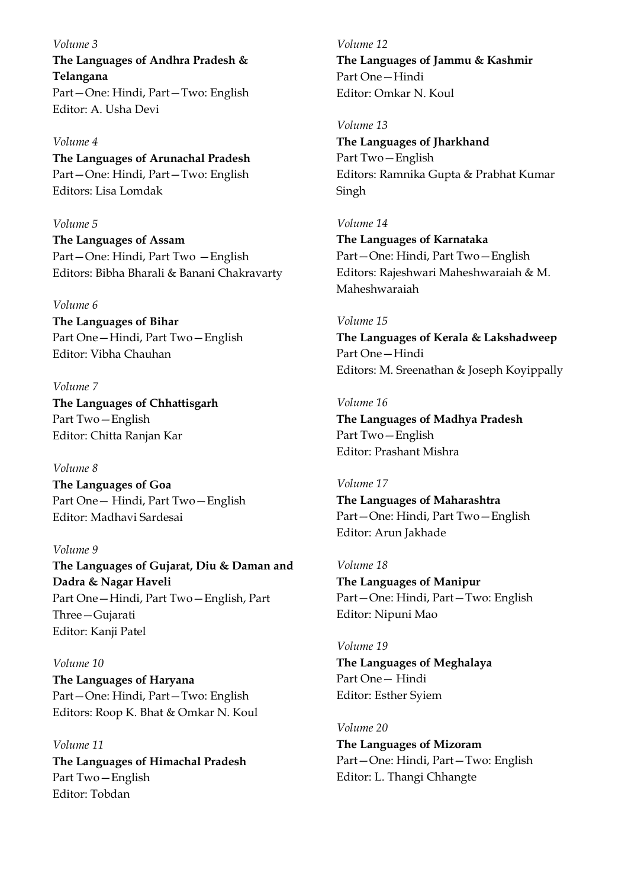*Volume 3* **The Languages of Andhra Pradesh & Telangana** Part—One: Hindi, Part—Two: English Editor: A. Usha Devi

*Volume 4* **The Languages of Arunachal Pradesh** Part—One: Hindi, Part—Two: English Editors: Lisa Lomdak

*Volume 5* **The Languages of Assam** Part—One: Hindi, Part Two —English Editors: Bibha Bharali & Banani Chakravarty

## *Volume 6*

**The Languages of Bihar** Part One—Hindi, Part Two—English Editor: Vibha Chauhan

*Volume 7* **The Languages of Chhattisgarh** Part Two—English Editor: Chitta Ranjan Kar

*Volume 8*

**The Languages of Goa** Part One— Hindi, Part Two—English Editor: Madhavi Sardesai

# *Volume 9*

**The Languages of Gujarat, Diu & Daman and Dadra & Nagar Haveli** Part One—Hindi, Part Two—English, Part Three—Gujarati Editor: Kanji Patel

*Volume 10* **The Languages of Haryana** Part—One: Hindi, Part—Two: English Editors: Roop K. Bhat & Omkar N. Koul

*Volume 11* **The Languages of Himachal Pradesh** Part Two—English Editor: Tobdan

*Volume 12* **The Languages of Jammu & Kashmir** Part One—Hindi Editor: Omkar N. Koul

*Volume 13*

**The Languages of Jharkhand** Part Two—English Editors: Ramnika Gupta & Prabhat Kumar Singh

*Volume 14* **The Languages of Karnataka** Part—One: Hindi, Part Two—English Editors: Rajeshwari Maheshwaraiah & M. Maheshwaraiah

*Volume 15* **The Languages of Kerala & Lakshadweep** Part One—Hindi Editors: M. Sreenathan & Joseph Koyippally

#### *Volume 16*

**The Languages of Madhya Pradesh** Part Two—English Editor: Prashant Mishra

*Volume 17*

**The Languages of Maharashtra** Part—One: Hindi, Part Two—English Editor: Arun Jakhade

*Volume 18*

**The Languages of Manipur** Part—One: Hindi, Part—Two: English Editor: Nipuni Mao

*Volume 19* **The Languages of Meghalaya** Part One— Hindi Editor: Esther Syiem

*Volume 20* **The Languages of Mizoram** Part—One: Hindi, Part—Two: English Editor: L. Thangi Chhangte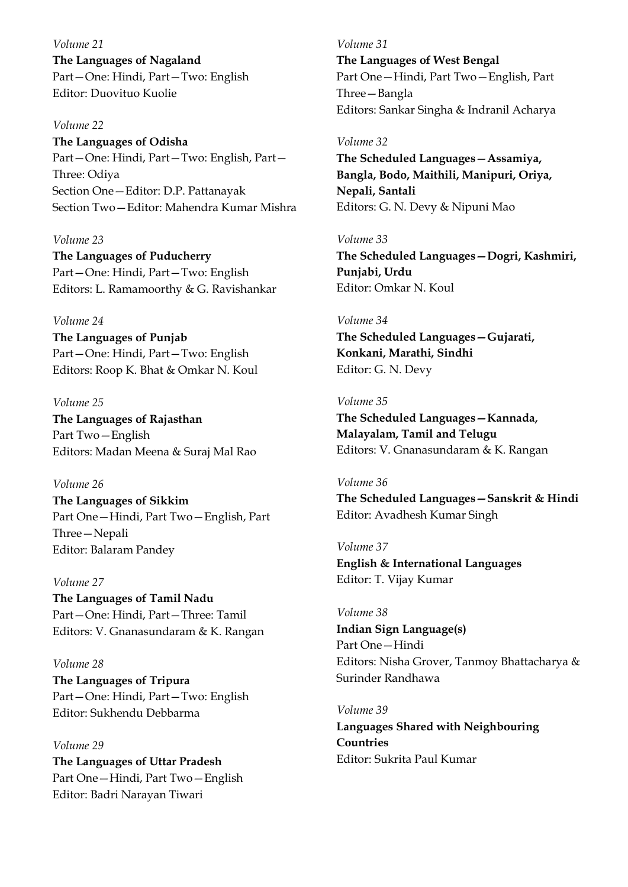*Volume 21* **The Languages of Nagaland** Part—One: Hindi, Part—Two: English Editor: Duovituo Kuolie

## *Volume 22*

**The Languages of Odisha** Part—One: Hindi, Part—Two: English, Part— Three: Odiya Section One—Editor: D.P. Pattanayak Section Two—Editor: Mahendra Kumar Mishra

## *Volume 23*

**The Languages of Puducherry** Part—One: Hindi, Part—Two: English Editors: L. Ramamoorthy & G. Ravishankar

*Volume 24*

**The Languages of Punjab** Part—One: Hindi, Part—Two: English Editors: Roop K. Bhat & Omkar N. Koul

## *Volume 25*

**The Languages of Rajasthan** Part Two—English Editors: Madan Meena & Suraj Mal Rao

# *Volume 26*

**The Languages of Sikkim** Part One—Hindi, Part Two—English, Part Three—Nepali Editor: Balaram Pandey

## *Volume 27*

**The Languages of Tamil Nadu** Part—One: Hindi, Part—Three: Tamil Editors: V. Gnanasundaram & K. Rangan

*Volume 28* **The Languages of Tripura** Part—One: Hindi, Part—Two: English Editor: Sukhendu Debbarma

*Volume 29* **The Languages of Uttar Pradesh** Part One—Hindi, Part Two—English Editor: Badri Narayan Tiwari

*Volume 31* **The Languages of West Bengal** Part One—Hindi, Part Two—English, Part Three—Bangla Editors: Sankar Singha & Indranil Acharya

#### *Volume 32*

**The Scheduled Languages**—**Assamiya, Bangla, Bodo, Maithili, Manipuri, Oriya, Nepali, Santali** Editors: G. N. Devy & Nipuni Mao

#### *Volume 33*

**The Scheduled Languages—Dogri, Kashmiri, Punjabi, Urdu** Editor: Omkar N. Koul

## *Volume 34*

**The Scheduled Languages—Gujarati, Konkani, Marathi, Sindhi** Editor: G. N. Devy

#### *Volume 35*

**The Scheduled Languages—Kannada, Malayalam, Tamil and Telugu** Editors: V. Gnanasundaram & K. Rangan

*Volume 36* **The Scheduled Languages—Sanskrit & Hindi** Editor: Avadhesh Kumar Singh

*Volume 37* **English & International Languages** Editor: T. Vijay Kumar

#### *Volume 38*

**Indian Sign Language(s)** Part One—Hindi Editors: Nisha Grover, Tanmoy Bhattacharya & Surinder Randhawa

## *Volume 39*

**Languages Shared with Neighbouring Countries** Editor: Sukrita Paul Kumar